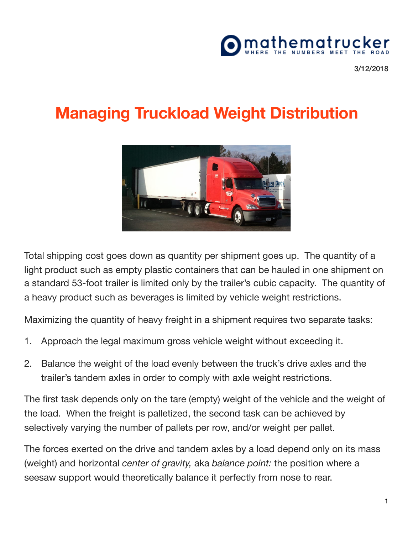## mathematru

3/12/2018

## **Managing Truckload Weight Distribution**



Total shipping cost goes down as quantity per shipment goes up. The quantity of a light product such as empty plastic containers that can be hauled in one shipment on a standard 53-foot trailer is limited only by the trailer's cubic capacity. The quantity of a heavy product such as beverages is limited by vehicle weight restrictions.

Maximizing the quantity of heavy freight in a shipment requires two separate tasks:

- 1. Approach the legal maximum gross vehicle weight without exceeding it.
- 2. Balance the weight of the load evenly between the truck's drive axles and the trailer's tandem axles in order to comply with axle weight restrictions.

The first task depends only on the tare (empty) weight of the vehicle and the weight of the load. When the freight is palletized, the second task can be achieved by selectively varying the number of pallets per row, and/or weight per pallet.

The forces exerted on the drive and tandem axles by a load depend only on its mass (weight) and horizontal *center of gravity,* aka *balance point:* the position where a seesaw support would theoretically balance it perfectly from nose to rear.